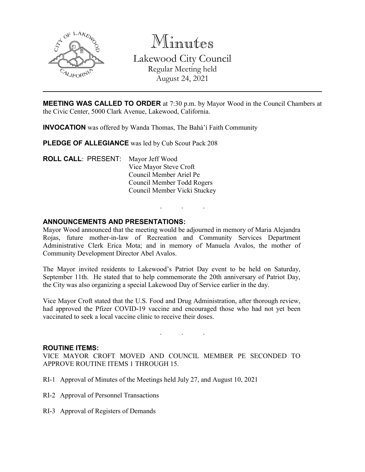

Minutes Lakewood City Council Regular Meeting held August 24, 2021

**MEETING WAS CALLED TO ORDER** at 7:30 p.m. by Mayor Wood in the Council Chambers at the Civic Center, 5000 Clark Avenue, Lakewood, California.

**INVOCATION** was offered by Wanda Thomas, The Bahá'í Faith Community

**PLEDGE OF ALLEGIANCE** was led by Cub Scout Pack 208

**ROLL CALL**: PRESENT: Mayor Jeff Wood Vice Mayor Steve Croft Council Member Ariel Pe Council Member Todd Rogers Council Member Vicki Stuckey

## **ANNOUNCEMENTS AND PRESENTATIONS:**

Mayor Wood announced that the meeting would be adjourned in memory of Maria Alejandra Rojas, future mother-in-law of Recreation and Community Services Department Administrative Clerk Erica Mota; and in memory of Manuela Avalos, the mother of Community Development Director Abel Avalos.

. . .

The Mayor invited residents to Lakewood's Patriot Day event to be held on Saturday, September 11th. He stated that to help commemorate the 20th anniversary of Patriot Day, the City was also organizing a special Lakewood Day of Service earlier in the day.

Vice Mayor Croft stated that the U.S. Food and Drug Administration, after thorough review, had approved the Pfizer COVID-19 vaccine and encouraged those who had not yet been vaccinated to seek a local vaccine clinic to receive their doses.

. . .

#### **ROUTINE ITEMS:**

VICE MAYOR CROFT MOVED AND COUNCIL MEMBER PE SECONDED TO APPROVE ROUTINE ITEMS 1 THROUGH 15.

- RI-1 Approval of Minutes of the Meetings held July 27, and August 10, 2021
- RI-2 Approval of Personnel Transactions
- RI-3 Approval of Registers of Demands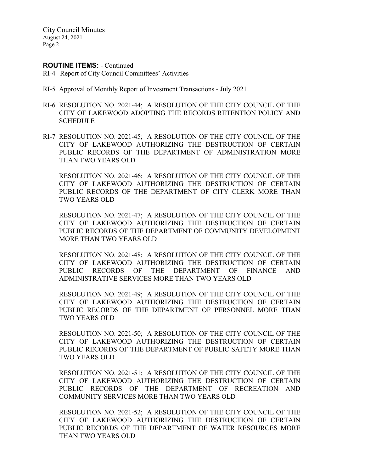#### **ROUTINE ITEMS:** - Continued

- RI-4 Report of City Council Committees' Activities
- RI-5 Approval of Monthly Report of Investment Transactions July 2021
- RI-6 RESOLUTION NO. 2021-44; A RESOLUTION OF THE CITY COUNCIL OF THE CITY OF LAKEWOOD ADOPTING THE RECORDS RETENTION POLICY AND SCHEDULE
- RI-7 RESOLUTION NO. 2021-45; A RESOLUTION OF THE CITY COUNCIL OF THE CITY OF LAKEWOOD AUTHORIZING THE DESTRUCTION OF CERTAIN PUBLIC RECORDS OF THE DEPARTMENT OF ADMINISTRATION MORE THAN TWO YEARS OLD

RESOLUTION NO. 2021-46; A RESOLUTION OF THE CITY COUNCIL OF THE CITY OF LAKEWOOD AUTHORIZING THE DESTRUCTION OF CERTAIN PUBLIC RECORDS OF THE DEPARTMENT OF CITY CLERK MORE THAN TWO YEARS OLD

RESOLUTION NO. 2021-47; A RESOLUTION OF THE CITY COUNCIL OF THE CITY OF LAKEWOOD AUTHORIZING THE DESTRUCTION OF CERTAIN PUBLIC RECORDS OF THE DEPARTMENT OF COMMUNITY DEVELOPMENT MORE THAN TWO YEARS OLD

RESOLUTION NO. 2021-48; A RESOLUTION OF THE CITY COUNCIL OF THE CITY OF LAKEWOOD AUTHORIZING THE DESTRUCTION OF CERTAIN PUBLIC RECORDS OF THE DEPARTMENT OF FINANCE AND PUBLIC RECORDS OF THE DEPARTMENT ADMINISTRATIVE SERVICES MORE THAN TWO YEARS OLD

RESOLUTION NO. 2021-49; A RESOLUTION OF THE CITY COUNCIL OF THE CITY OF LAKEWOOD AUTHORIZING THE DESTRUCTION OF CERTAIN PUBLIC RECORDS OF THE DEPARTMENT OF PERSONNEL MORE THAN TWO YEARS OLD

RESOLUTION NO. 2021-50; A RESOLUTION OF THE CITY COUNCIL OF THE CITY OF LAKEWOOD AUTHORIZING THE DESTRUCTION OF CERTAIN PUBLIC RECORDS OF THE DEPARTMENT OF PUBLIC SAFETY MORE THAN TWO YEARS OLD

RESOLUTION NO. 2021-51; A RESOLUTION OF THE CITY COUNCIL OF THE CITY OF LAKEWOOD AUTHORIZING THE DESTRUCTION OF CERTAIN PUBLIC RECORDS OF THE DEPARTMENT OF RECREATION AND COMMUNITY SERVICES MORE THAN TWO YEARS OLD

RESOLUTION NO. 2021-52; A RESOLUTION OF THE CITY COUNCIL OF THE CITY OF LAKEWOOD AUTHORIZING THE DESTRUCTION OF CERTAIN PUBLIC RECORDS OF THE DEPARTMENT OF WATER RESOURCES MORE THAN TWO YEARS OLD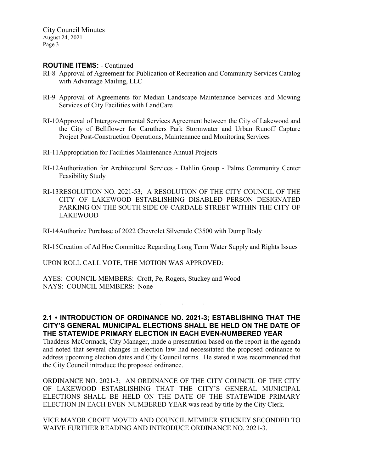## **ROUTINE ITEMS:** - Continued

- RI-8 Approval of Agreement for Publication of Recreation and Community Services Catalog with Advantage Mailing, LLC
- RI-9 Approval of Agreements for Median Landscape Maintenance Services and Mowing Services of City Facilities with LandCare
- RI-10Approval of Intergovernmental Services Agreement between the City of Lakewood and the City of Bellflower for Caruthers Park Stormwater and Urban Runoff Capture Project Post-Construction Operations, Maintenance and Monitoring Services
- RI-11Appropriation for Facilities Maintenance Annual Projects
- RI-12Authorization for Architectural Services Dahlin Group Palms Community Center Feasibility Study
- RI-13RESOLUTION NO. 2021-53; A RESOLUTION OF THE CITY COUNCIL OF THE CITY OF LAKEWOOD ESTABLISHING DISABLED PERSON DESIGNATED PARKING ON THE SOUTH SIDE OF CARDALE STREET WITHIN THE CITY OF LAKEWOOD
- RI-14Authorize Purchase of 2022 Chevrolet Silverado C3500 with Dump Body

RI-15Creation of Ad Hoc Committee Regarding Long Term Water Supply and Rights Issues

UPON ROLL CALL VOTE, THE MOTION WAS APPROVED:

AYES: COUNCIL MEMBERS: Croft, Pe, Rogers, Stuckey and Wood NAYS: COUNCIL MEMBERS: None

**2.1 • INTRODUCTION OF ORDINANCE NO. 2021-3; ESTABLISHING THAT THE CITY'S GENERAL MUNICIPAL ELECTIONS SHALL BE HELD ON THE DATE OF THE STATEWIDE PRIMARY ELECTION IN EACH EVEN-NUMBERED YEAR**

. . .

Thaddeus McCormack, City Manager, made a presentation based on the report in the agenda and noted that several changes in election law had necessitated the proposed ordinance to address upcoming election dates and City Council terms. He stated it was recommended that the City Council introduce the proposed ordinance.

ORDINANCE NO. 2021-3; AN ORDINANCE OF THE CITY COUNCIL OF THE CITY OF LAKEWOOD ESTABLISHING THAT THE CITY'S GENERAL MUNICIPAL ELECTIONS SHALL BE HELD ON THE DATE OF THE STATEWIDE PRIMARY ELECTION IN EACH EVEN-NUMBERED YEAR was read by title by the City Clerk.

VICE MAYOR CROFT MOVED AND COUNCIL MEMBER STUCKEY SECONDED TO WAIVE FURTHER READING AND INTRODUCE ORDINANCE NO. 2021-3.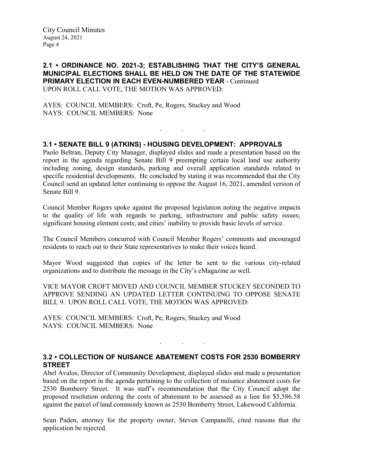## **2.1 • ORDINANCE NO. 2021-3; ESTABLISHING THAT THE CITY'S GENERAL MUNICIPAL ELECTIONS SHALL BE HELD ON THE DATE OF THE STATEWIDE PRIMARY ELECTION IN EACH EVEN-NUMBERED YEAR** - Continued UPON ROLL CALL VOTE, THE MOTION WAS APPROVED:

AYES: COUNCIL MEMBERS: Croft, Pe, Rogers, Stuckey and Wood NAYS: COUNCIL MEMBERS: None

## **3.1 • SENATE BILL 9 (ATKINS) - HOUSING DEVELOPMENT: APPROVALS**

Paolo Beltran, Deputy City Manager, displayed slides and made a presentation based on the report in the agenda regarding Senate Bill 9 preempting certain local land use authority including zoning, design standards, parking and overall application standards related to specific residential developments. He concluded by stating it was recommended that the City Council send an updated letter continuing to oppose the August 16, 2021, amended version of Senate Bill 9.

. . .

Council Member Rogers spoke against the proposed legislation noting the negative impacts to the quality of life with regards to parking, infrastructure and public safety issues; significant housing element costs; and cities' inability to provide basic levels of service.

The Council Members concurred with Council Member Rogers' comments and encouraged residents to reach out to their State representatives to make their voices heard.

Mayor Wood suggested that copies of the letter be sent to the various city-related organizations and to distribute the message in the City's eMagazine as well.

VICE MAYOR CROFT MOVED AND COUNCIL MEMBER STUCKEY SECONDED TO APPROVE SENDING AN UPDATED LETTER CONTINUING TO OPPOSE SENATE BILL 9. UPON ROLL CALL VOTE, THE MOTION WAS APPROVED:

AYES: COUNCIL MEMBERS: Croft, Pe, Rogers, Stuckey and Wood NAYS: COUNCIL MEMBERS: None

# **3.2 • COLLECTION OF NUISANCE ABATEMENT COSTS FOR 2530 BOMBERRY STREET**

. . .

Abel Avalos, Director of Community Development, displayed slides and made a presentation based on the report in the agenda pertaining to the collection of nuisance abatement costs for 2530 Bomberry Street. It was staff's recommendation that the City Council adopt the proposed resolution ordering the costs of abatement to be assessed as a lien for \$5,586.58 against the parcel of land commonly known as 2530 Bomberry Street, Lakewood California.

Sean Paden, attorney for the property owner, Steven Campanelli, cited reasons that the application be rejected.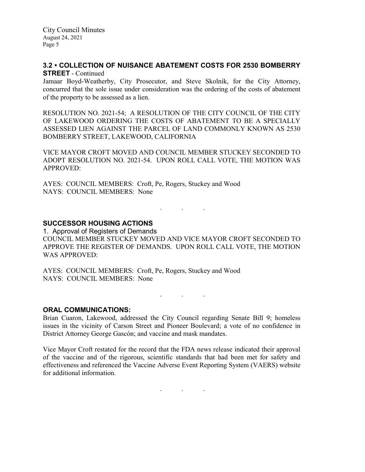## **3.2 • COLLECTION OF NUISANCE ABATEMENT COSTS FOR 2530 BOMBERRY STREET** - Continued

Jamaar Boyd-Weatherby, City Prosecutor, and Steve Skolnik, for the City Attorney, concurred that the sole issue under consideration was the ordering of the costs of abatement of the property to be assessed as a lien.

RESOLUTION NO. 2021-54; A RESOLUTION OF THE CITY COUNCIL OF THE CITY OF LAKEWOOD ORDERING THE COSTS OF ABATEMENT TO BE A SPECIALLY ASSESSED LIEN AGAINST THE PARCEL OF LAND COMMONLY KNOWN AS 2530 BOMBERRY STREET, LAKEWOOD, CALIFORNIA

VICE MAYOR CROFT MOVED AND COUNCIL MEMBER STUCKEY SECONDED TO ADOPT RESOLUTION NO. 2021-54. UPON ROLL CALL VOTE, THE MOTION WAS APPROVED:

AYES: COUNCIL MEMBERS: Croft, Pe, Rogers, Stuckey and Wood NAYS: COUNCIL MEMBERS: None

## **SUCCESSOR HOUSING ACTIONS**

1. Approval of Registers of Demands COUNCIL MEMBER STUCKEY MOVED AND VICE MAYOR CROFT SECONDED TO APPROVE THE REGISTER OF DEMANDS. UPON ROLL CALL VOTE, THE MOTION WAS APPROVED:

. . .

AYES: COUNCIL MEMBERS: Croft, Pe, Rogers, Stuckey and Wood NAYS: COUNCIL MEMBERS: None

**ORAL COMMUNICATIONS:**

Brian Cuaron, Lakewood, addressed the City Council regarding Senate Bill 9; homeless issues in the vicinity of Carson Street and Pioneer Boulevard; a vote of no confidence in District Attorney George Gascón; and vaccine and mask mandates.

. . .

Vice Mayor Croft restated for the record that the FDA news release indicated their approval of the vaccine and of the rigorous, scientific standards that had been met for safety and effectiveness and referenced the Vaccine Adverse Event Reporting System (VAERS) website for additional information.

. . .